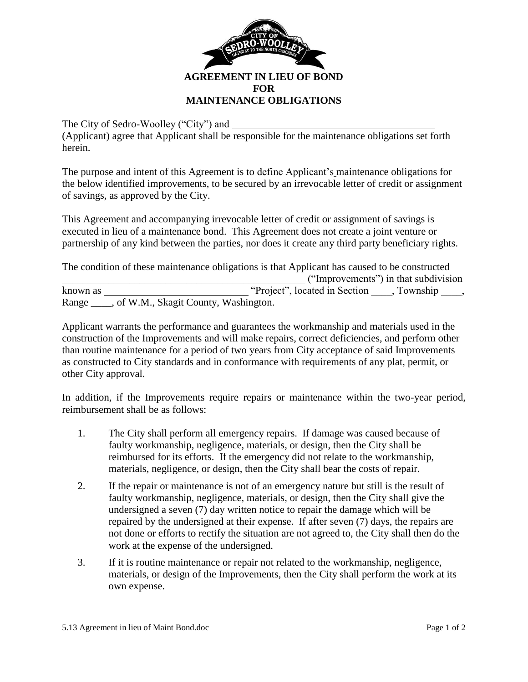

The City of Sedro-Woolley ("City") and

(Applicant) agree that Applicant shall be responsible for the maintenance obligations set forth herein.

The purpose and intent of this Agreement is to define Applicant's maintenance obligations for the below identified improvements, to be secured by an irrevocable letter of credit or assignment of savings, as approved by the City.

This Agreement and accompanying irrevocable letter of credit or assignment of savings is executed in lieu of a maintenance bond. This Agreement does not create a joint venture or partnership of any kind between the parties, nor does it create any third party beneficiary rights.

The condition of these maintenance obligations is that Applicant has caused to be constructed \_\_\_\_\_\_\_\_\_\_\_\_\_\_\_\_\_\_\_\_\_\_\_\_\_\_\_\_\_\_\_\_\_\_\_\_\_\_\_\_\_\_\_\_\_\_\_ ("Improvements") in that subdivision known as "Project", located in Section \_\_\_\_, Township \_\_\_\_, Range \_\_\_\_, of W.M., Skagit County, Washington.

Applicant warrants the performance and guarantees the workmanship and materials used in the construction of the Improvements and will make repairs, correct deficiencies, and perform other than routine maintenance for a period of two years from City acceptance of said Improvements as constructed to City standards and in conformance with requirements of any plat, permit, or other City approval.

In addition, if the Improvements require repairs or maintenance within the two-year period, reimbursement shall be as follows:

- 1. The City shall perform all emergency repairs. If damage was caused because of faulty workmanship, negligence, materials, or design, then the City shall be reimbursed for its efforts. If the emergency did not relate to the workmanship, materials, negligence, or design, then the City shall bear the costs of repair.
- 2. If the repair or maintenance is not of an emergency nature but still is the result of faulty workmanship, negligence, materials, or design, then the City shall give the undersigned a seven (7) day written notice to repair the damage which will be repaired by the undersigned at their expense. If after seven (7) days, the repairs are not done or efforts to rectify the situation are not agreed to, the City shall then do the work at the expense of the undersigned.
- 3. If it is routine maintenance or repair not related to the workmanship, negligence, materials, or design of the Improvements, then the City shall perform the work at its own expense.